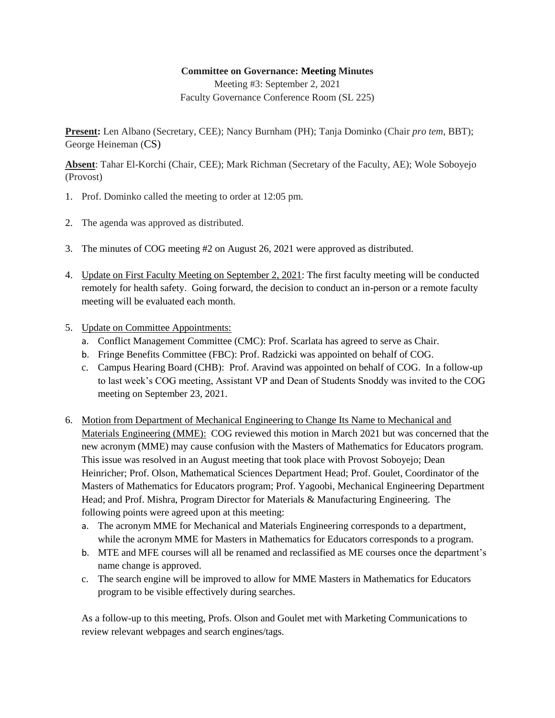## **Committee on Governance: Meeting Minutes**

Meeting #3: September 2, 2021 Faculty Governance Conference Room (SL 225)

**Present:** Len Albano (Secretary, CEE); Nancy Burnham (PH); Tanja Dominko (Chair *pro tem*, BBT); George Heineman (CS)

**Absent**: Tahar El-Korchi (Chair, CEE); Mark Richman (Secretary of the Faculty, AE); Wole Soboyejo (Provost)

- 1. Prof. Dominko called the meeting to order at 12:05 pm.
- 2. The agenda was approved as distributed.
- 3. The minutes of COG meeting #2 on August 26, 2021 were approved as distributed.
- 4. Update on First Faculty Meeting on September 2, 2021: The first faculty meeting will be conducted remotely for health safety. Going forward, the decision to conduct an in-person or a remote faculty meeting will be evaluated each month.
- 5. Update on Committee Appointments:
	- a. Conflict Management Committee (CMC): Prof. Scarlata has agreed to serve as Chair.
	- b. Fringe Benefits Committee (FBC): Prof. Radzicki was appointed on behalf of COG.
	- c. Campus Hearing Board (CHB): Prof. Aravind was appointed on behalf of COG. In a follow-up to last week's COG meeting, Assistant VP and Dean of Students Snoddy was invited to the COG meeting on September 23, 2021.
- 6. Motion from Department of Mechanical Engineering to Change Its Name to Mechanical and Materials Engineering (MME): COG reviewed this motion in March 2021 but was concerned that the new acronym (MME) may cause confusion with the Masters of Mathematics for Educators program. This issue was resolved in an August meeting that took place with Provost Soboyejo; Dean Heinricher; Prof. Olson, Mathematical Sciences Department Head; Prof. Goulet, Coordinator of the Masters of Mathematics for Educators program; Prof. Yagoobi, Mechanical Engineering Department Head; and Prof. Mishra, Program Director for Materials & Manufacturing Engineering. The following points were agreed upon at this meeting:
	- a. The acronym MME for Mechanical and Materials Engineering corresponds to a department, while the acronym MME for Masters in Mathematics for Educators corresponds to a program.
	- b. MTE and MFE courses will all be renamed and reclassified as ME courses once the department's name change is approved.
	- c. The search engine will be improved to allow for MME Masters in Mathematics for Educators program to be visible effectively during searches.

As a follow-up to this meeting, Profs. Olson and Goulet met with Marketing Communications to review relevant webpages and search engines/tags.